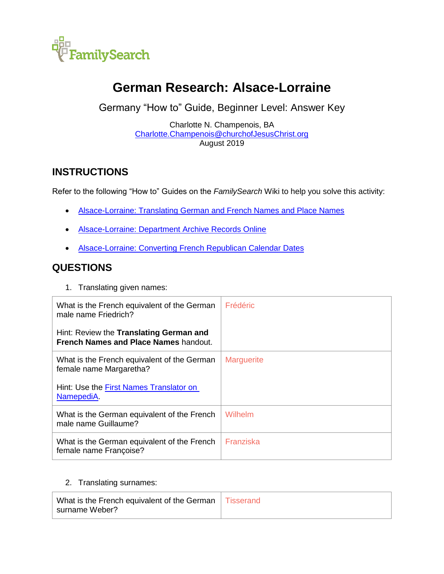

# **German Research: Alsace-Lorraine**

Germany "How to" Guide, Beginner Level: Answer Key

Charlotte N. Champenois, BA [Charlotte.Champenois@churchofJesusChrist.org](mailto:Charlotte.Champenois@churchofJesusChrist.org) August 2019

## **INSTRUCTIONS**

Refer to the following "How to" Guides on the *FamilySearch* Wiki to help you solve this activity:

- **[Alsace-Lorraine: Translating German and French Names and Place Names](https://www.familysearch.org/wiki/en/img_auth.php/7/70/Alsace-Lorraine%2C_Translating_German_and_French_Names_-_instruction.pdf)**
- **[Alsace-Lorraine: Department Archive Records Online](https://www.familysearch.org/wiki/en/img_auth.php/0/0d/Alsace-Lorraine%2C_Department_Archive_Records_Online_-_instructions.pdf)**
- [Alsace-Lorraine: Converting French Republican Calendar Dates](https://www.familysearch.org/wiki/en/img_auth.php/d/d7/Alsace-Lorraine%2C_Converting_French_Republican_Calendar_Dates_-_instruction.pdf)

## **QUESTIONS**

1. Translating given names:

| What is the French equivalent of the German<br>male name Friedrich?              | <b>Frédéric</b>   |
|----------------------------------------------------------------------------------|-------------------|
| Hint: Review the Translating German and<br>French Names and Place Names handout. |                   |
| What is the French equivalent of the German<br>female name Margaretha?           | <b>Marguerite</b> |
| Hint: Use the First Names Translator on<br>NamepediA.                            |                   |
| What is the German equivalent of the French<br>male name Guillaume?              | Wilhelm           |
| What is the German equivalent of the French<br>female name Françoise?            | Franziska         |

#### 2. Translating surnames:

| What is the French equivalent of the German   Tisserand |  |
|---------------------------------------------------------|--|
| surname Weber?                                          |  |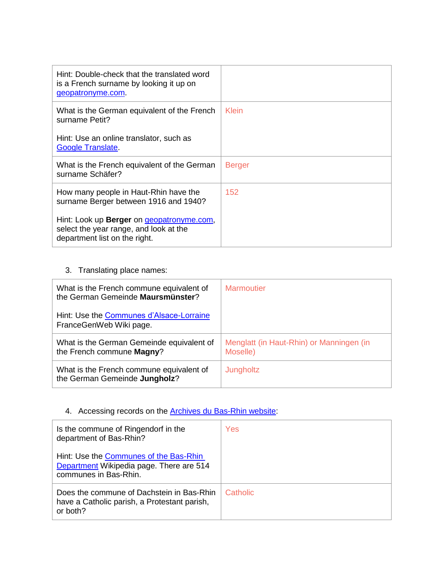| Hint: Double-check that the translated word<br>is a French surname by looking it up on<br>geopatronyme.com.                         |               |
|-------------------------------------------------------------------------------------------------------------------------------------|---------------|
| What is the German equivalent of the French<br>surname Petit?                                                                       | Klein         |
| Hint: Use an online translator, such as<br><b>Google Translate.</b>                                                                 |               |
| What is the French equivalent of the German<br>surname Schäfer?                                                                     | <b>Berger</b> |
| How many people in Haut-Rhin have the<br>surname Berger between 1916 and 1940?                                                      | 152           |
| Hint: Look up <b>Berger</b> on <i>geopatronyme.com</i> ,<br>select the year range, and look at the<br>department list on the right. |               |

### 3. Translating place names:

| What is the French commune equivalent of<br>the German Gemeinde Maursmünster? | <b>Marmoutier</b>                                    |
|-------------------------------------------------------------------------------|------------------------------------------------------|
| Hint: Use the Communes d'Alsace-Lorraine<br>FranceGenWeb Wiki page.           |                                                      |
| What is the German Gemeinde equivalent of<br>the French commune Magny?        | Menglatt (in Haut-Rhin) or Manningen (in<br>Moselle) |
| What is the French commune equivalent of<br>the German Gemeinde Jungholz?     | Jungholtz                                            |

## 4. Accessing records on the **Archives du Bas-Rhin website**:

| Is the commune of Ringendorf in the<br>department of Bas-Rhin?                                              | Yes      |
|-------------------------------------------------------------------------------------------------------------|----------|
| Hint: Use the Communes of the Bas-Rhin<br>Department Wikipedia page. There are 514<br>communes in Bas-Rhin. |          |
| Does the commune of Dachstein in Bas-Rhin<br>have a Catholic parish, a Protestant parish,<br>or both?       | Catholic |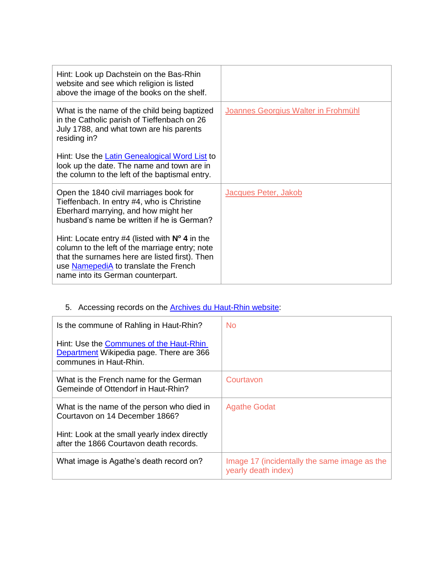| Hint: Look up Dachstein on the Bas-Rhin<br>website and see which religion is listed<br>above the image of the books on the shelf.                                                                                                     |                                     |
|---------------------------------------------------------------------------------------------------------------------------------------------------------------------------------------------------------------------------------------|-------------------------------------|
| What is the name of the child being baptized<br>in the Catholic parish of Tieffenbach on 26<br>July 1788, and what town are his parents<br>residing in?                                                                               | Joannes Georgius Walter in Frohmühl |
| Hint: Use the Latin Genealogical Word List to<br>look up the date. The name and town are in<br>the column to the left of the baptismal entry.                                                                                         |                                     |
| Open the 1840 civil marriages book for<br>Tieffenbach. In entry #4, who is Christine<br>Eberhard marrying, and how might her<br>husband's name be written if he is German?<br>Hint: Locate entry #4 (listed with $N^{\circ}$ 4 in the | Jacques Peter, Jakob                |
| column to the left of the marriage entry; note<br>that the surnames here are listed first). Then<br>use NamepediA to translate the French<br>name into its German counterpart.                                                        |                                     |

## 5. Accessing records on the [Archives du Haut-Rhin](http://www.archives.haut-rhin.fr/search?preset=44&view=list) website:

| Is the commune of Rahling in Haut-Rhin?                                                                       | No.                                                                 |
|---------------------------------------------------------------------------------------------------------------|---------------------------------------------------------------------|
| Hint: Use the Communes of the Haut-Rhin<br>Department Wikipedia page. There are 366<br>communes in Haut-Rhin. |                                                                     |
| What is the French name for the German<br>Gemeinde of Ottendorf in Haut-Rhin?                                 | Courtavon                                                           |
| What is the name of the person who died in<br>Courtavon on 14 December 1866?                                  | <b>Agathe Godat</b>                                                 |
| Hint: Look at the small yearly index directly<br>after the 1866 Courtavon death records.                      |                                                                     |
| What image is Agathe's death record on?                                                                       | Image 17 (incidentally the same image as the<br>yearly death index) |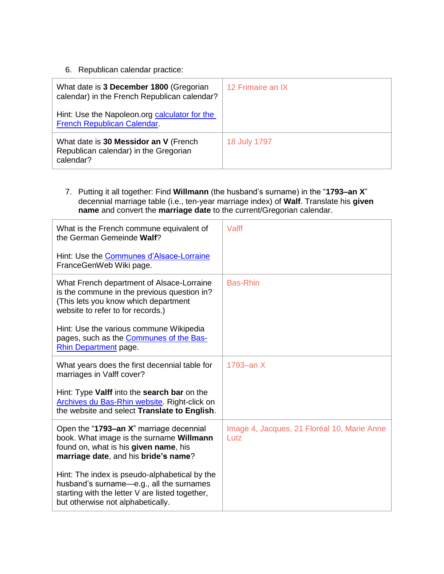#### 6. Republican calendar practice:

| What date is 3 December 1800 (Gregorian<br>calendar) in the French Republican calendar?     | 12 Frimaire an IX |
|---------------------------------------------------------------------------------------------|-------------------|
| Hint: Use the Napoleon.org calculator for the<br>French Republican Calendar.                |                   |
| What date is 30 Messidor an V (French<br>Republican calendar) in the Gregorian<br>calendar? | 18 July 1797      |

7. Putting it all together: Find **Willmann** (the husband's surname) in the "**1793–an X**" decennial marriage table (i.e., ten-year marriage index) of **Walf**. Translate his **given name** and convert the **marriage date** to the current/Gregorian calendar.

| What is the French commune equivalent of<br>the German Gemeinde Walf?                                                                                                             | Valff                                               |
|-----------------------------------------------------------------------------------------------------------------------------------------------------------------------------------|-----------------------------------------------------|
| Hint: Use the Communes d'Alsace-Lorraine<br>FranceGenWeb Wiki page.                                                                                                               |                                                     |
| What French department of Alsace-Lorraine<br>is the commune in the previous question in?<br>(This lets you know which department<br>website to refer to for records.)             | <b>Bas-Rhin</b>                                     |
| Hint: Use the various commune Wikipedia<br>pages, such as the <b>Communes of the Bas-</b><br>Rhin Department page.                                                                |                                                     |
| What years does the first decennial table for<br>marriages in Valff cover?                                                                                                        | 1793-an X                                           |
| Hint: Type Valff into the search bar on the<br>Archives du Bas-Rhin website. Right-click on<br>the website and select Translate to English.                                       |                                                     |
| Open the "1793-an X" marriage decennial<br>book. What image is the surname Willmann<br>found on, what is his given name, his<br>marriage date, and his bride's name?              | Image 4, Jacques, 21 Floréal 10, Marie Anne<br>Lutz |
| Hint: The index is pseudo-alphabetical by the<br>husband's surname-e.g., all the surnames<br>starting with the letter V are listed together,<br>but otherwise not alphabetically. |                                                     |